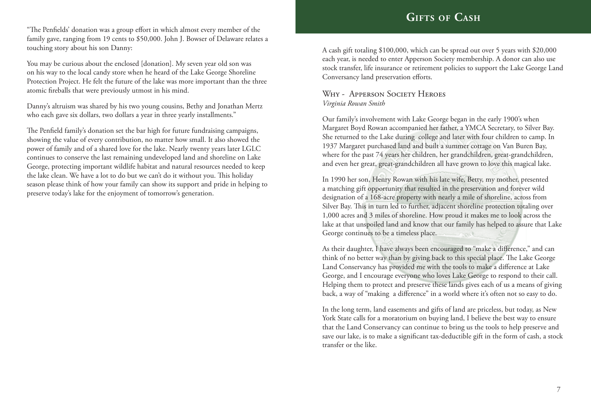"The Penfields' donation was a group effort in which almost every member of the family gave, ranging from 19 cents to \$50,000. John J. Bowser of Delaware relates a touching story about his son Danny:

You may be curious about the enclosed [donation]. My seven year old son was on his way to the local candy store when he heard of the Lake George Shoreline Protection Project. He felt the future of the lake was more important than the three atomic fireballs that were previously utmost in his mind.

Danny's altruism was shared by his two young cousins, Bethy and Jonathan Mertz who each gave six dollars, two dollars a year in three yearly installments."

The Penfield family's donation set the bar high for future fundraising campaigns, showing the value of every contribution, no matter how small. It also showed the power of family and of a shared love for the lake. Nearly twenty years later LGLC continues to conserve the last remaining undeveloped land and shoreline on Lake George, protecting important wildlife habitat and natural resources needed to keep the lake clean. We have a lot to do but we can't do it without you. This holiday season please think of how your family can show its support and pride in helping to preserve today's lake for the enjoyment of tomorrow's generation.

## **Gifts of Cash**

A cash gift totaling \$100,000, which can be spread out over 5 years with \$20,000 each year, is needed to enter Apperson Society membership. A donor can also use stock transfer, life insurance or retirement policies to support the Lake George Land Conversancy land preservation efforts.

## Why - Apperson Society Heroes *Virginia Rowan Smith*

Our family's involvement with Lake George began in the early 1900's when Margaret Boyd Rowan accompanied her father, a YMCA Secretary, to Silver Bay. She returned to the Lake during college and later with four children to camp. In 1937 Margaret purchased land and built a summer cottage on Van Buren Bay, where for the past 74 years her children, her grandchildren, great-grandchildren, and even her great, great-grandchildren all have grown to love this magical lake.

In 1990 her son, Henry Rowan with his late wife, Betty, my mother, presented a matching gift opportunity that resulted in the preservation and forever wild designation of a 168-acre property with nearly a mile of shoreline, across from Silver Bay. This in turn led to further, adjacent shoreline protection totaling over 1,000 acres and 3 miles of shoreline. How proud it makes me to look across the lake at that unspoiled land and know that our family has helped to assure that Lake George continues to be a timeless place.

As their daughter, I have always been encouraged to "make a difference," and can think of no better way than by giving back to this special place. The Lake George Land Conservancy has provided me with the tools to make a difference at Lake George, and I encourage everyone who loves Lake George to respond to their call. Helping them to protect and preserve these lands gives each of us a means of giving back, a way of "making a difference" in a world where it's often not so easy to do.

In the long term, land easements and gifts of land are priceless, but today, as New York State calls for a moratorium on buying land, I believe the best way to ensure that the Land Conservancy can continue to bring us the tools to help preserve and save our lake, is to make a significant tax-deductible gift in the form of cash, a stock transfer or the like.